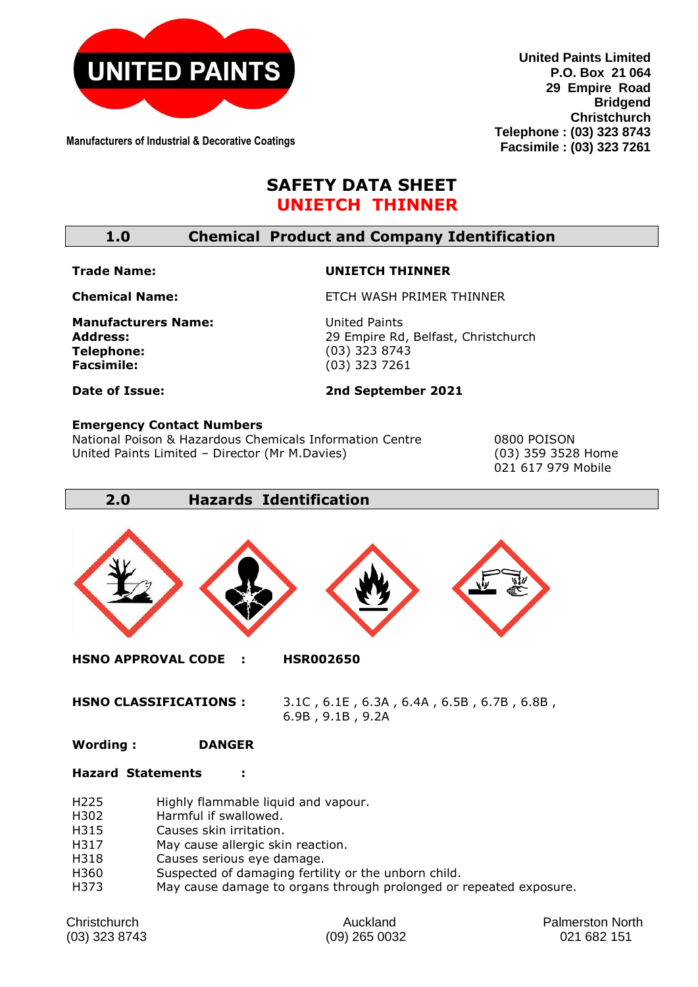

**Manufacturers of Industrial & Decorative Coatings**

**United Paints Limited P.O. Box 21 064 29 Empire Road Bridgend Christchurch Telephone : (03) 323 8743 Facsimile : (03) 323 7261**

# **SAFETY DATA SHEET UNIETCH THINNER**

## **1.0 Chemical Product and Company Identification**

#### **Trade Name:**

#### **UNIETCH THINNER**

**Chemical Name:** 

**Manufacturers Name: Address: Telephone: Facsimile:** 

United Paints 29 Empire Rd, Belfast, Christchurch (03) 323 8743 (03) 323 7261

ETCH WASH PRIMER THINNER

**Date of Issue:** 

#### **2nd September 2021**

#### **Emergency Contact Numbers**

National Poison & Hazardous Chemicals Information Centre 0800 POISON United Paints Limited – Director (Mr M.Davies) (03) 359 3528 Home

021 617 979 Mobile

### **2.0 Hazards Identification**



**HSNO CLASSIFICATIONS :** 3.1C , 6.1E , 6.3A , 6.4A , 6.5B , 6.7B , 6.8B , 6.9B , 9.1B , 9.2A

#### **Wording : DANGER**

#### **Hazard Statements :**

- H225 Highly flammable liquid and vapour.
- H302 Harmful if swallowed.
- H315 Causes skin irritation.
- H317 May cause allergic skin reaction.
- H318 Causes serious eye damage.
- H360 Suspected of damaging fertility or the unborn child.
- H373 May cause damage to organs through prolonged or repeated exposure.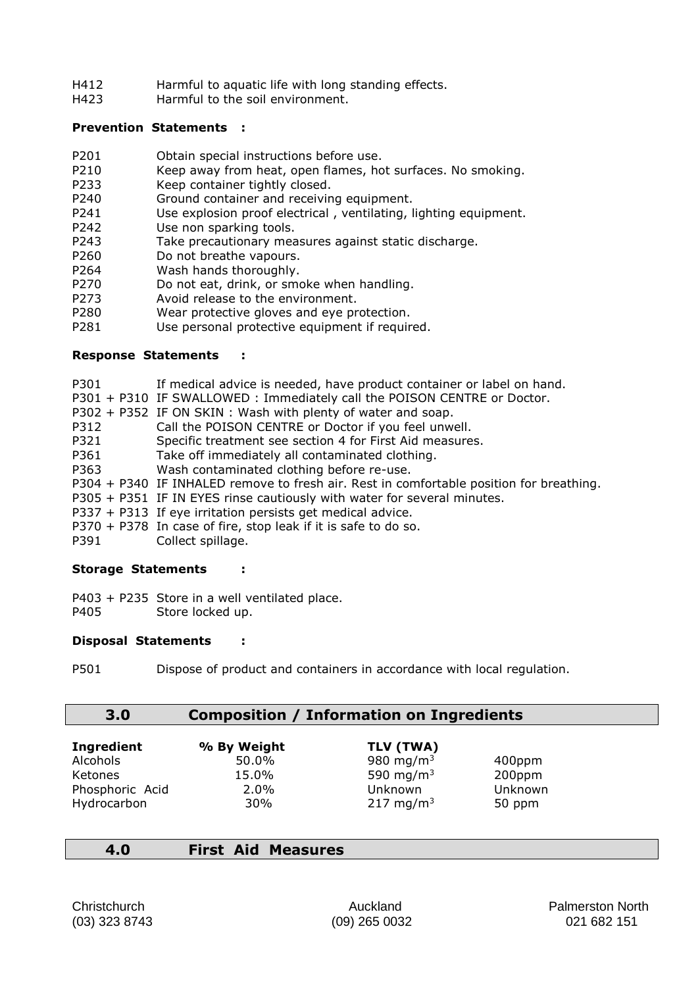- H412 Harmful to aquatic life with long standing effects.
- H423 Harmful to the soil environment.

### **Prevention Statements :**

- P201 Obtain special instructions before use.
- P210 Keep away from heat, open flames, hot surfaces. No smoking.
- P233 Keep container tightly closed.<br>P240 Ground container and receiving
- Ground container and receiving equipment.
- P241 Use explosion proof electrical , ventilating, lighting equipment.
- P242 Use non sparking tools.
- P243 Take precautionary measures against static discharge.
- P260 Do not breathe vapours.
- P264 Wash hands thoroughly.
- P270 Do not eat, drink, or smoke when handling.
- P273 Avoid release to the environment.
- P280 Wear protective gloves and eye protection.
- P281 Use personal protective equipment if required.

### **Response Statements :**

- P301 If medical advice is needed, have product container or label on hand.
- P301 + P310 IF SWALLOWED : Immediately call the POISON CENTRE or Doctor.
- P302 + P352 IF ON SKIN : Wash with plenty of water and soap.
- P312 Call the POISON CENTRE or Doctor if you feel unwell.
- P321 Specific treatment see section 4 for First Aid measures.
- P361 Take off immediately all contaminated clothing.
- P363 Wash contaminated clothing before re-use.
- P304 + P340 IF INHALED remove to fresh air. Rest in comfortable position for breathing.
- P305 + P351 IF IN EYES rinse cautiously with water for several minutes.
- P337 + P313 If eye irritation persists get medical advice.
- P370 + P378 In case of fire, stop leak if it is safe to do so.
- P391 Collect spillage.

### **Storage Statements :**

P403 + P235 Store in a well ventilated place. P405 Store locked up.

### **Disposal Statements :**

P501 Dispose of product and containers in accordance with local regulation.

# **3.0 Composition / Information on Ingredients**

| <b>Ingredient</b> | % By Weight | TLV (TWA)             |         |
|-------------------|-------------|-----------------------|---------|
| Alcohols          | 50.0%       | 980 mg/m <sup>3</sup> | 400ppm  |
| Ketones           | 15.0%       | 590 mg/m <sup>3</sup> | 200ppm  |
| Phosphoric Acid   | $2.0\%$     | Unknown               | Unknown |
| Hydrocarbon       | 30%         | 217 mg/m <sup>3</sup> | 50 ppm  |

**4.0 First Aid Measures**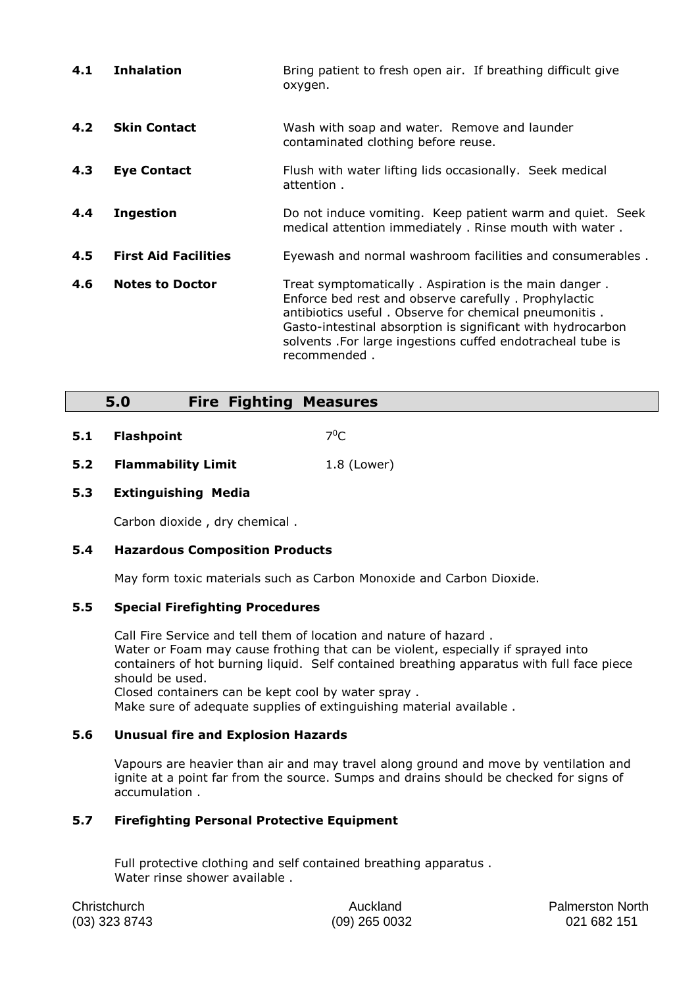| 4.1 | <b>Inhalation</b>           | Bring patient to fresh open air. If breathing difficult give<br>oxygen.                                                                                                                                                                                                                                              |
|-----|-----------------------------|----------------------------------------------------------------------------------------------------------------------------------------------------------------------------------------------------------------------------------------------------------------------------------------------------------------------|
| 4.2 | <b>Skin Contact</b>         | Wash with soap and water. Remove and launder<br>contaminated clothing before reuse.                                                                                                                                                                                                                                  |
| 4.3 | <b>Eye Contact</b>          | Flush with water lifting lids occasionally. Seek medical<br>attention.                                                                                                                                                                                                                                               |
| 4.4 | <b>Ingestion</b>            | Do not induce vomiting. Keep patient warm and quiet. Seek<br>medical attention immediately . Rinse mouth with water .                                                                                                                                                                                                |
| 4.5 | <b>First Aid Facilities</b> | Eyewash and normal washroom facilities and consumerables.                                                                                                                                                                                                                                                            |
| 4.6 | <b>Notes to Doctor</b>      | Treat symptomatically. Aspiration is the main danger.<br>Enforce bed rest and observe carefully. Prophylactic<br>antibiotics useful. Observe for chemical pneumonitis.<br>Gasto-intestinal absorption is significant with hydrocarbon<br>solvents . For large ingestions cuffed endotracheal tube is<br>recommended. |

### **5.0 Fire Fighting Measures**

- **5.1 Flashpoint**  $7^0C$
- **5.2 Flammability Limit** 1.8 (Lower)

#### **5.3 Extinguishing Media**

Carbon dioxide , dry chemical .

#### **5.4 Hazardous Composition Products**

May form toxic materials such as Carbon Monoxide and Carbon Dioxide.

#### **5.5 Special Firefighting Procedures**

Call Fire Service and tell them of location and nature of hazard . Water or Foam may cause frothing that can be violent, especially if sprayed into containers of hot burning liquid. Self contained breathing apparatus with full face piece should be used.

Closed containers can be kept cool by water spray .

Make sure of adequate supplies of extinguishing material available .

#### **5.6 Unusual fire and Explosion Hazards**

Vapours are heavier than air and may travel along ground and move by ventilation and ignite at a point far from the source. Sumps and drains should be checked for signs of accumulation .

### **5.7 Firefighting Personal Protective Equipment**

Full protective clothing and self contained breathing apparatus . Water rinse shower available .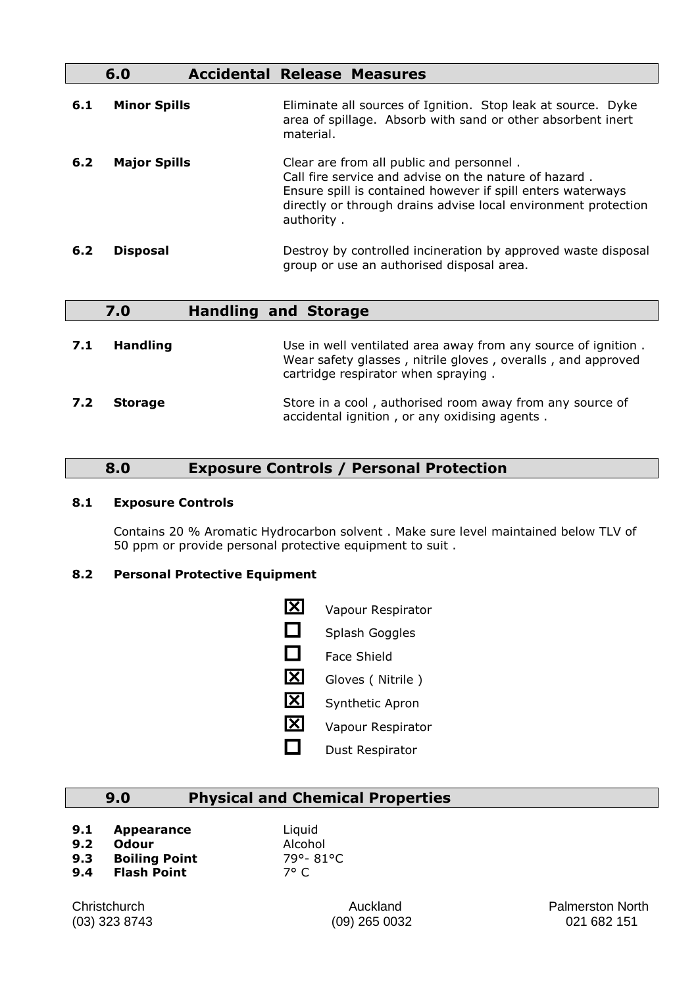### **6.0 Accidental Release Measures**

| 6.1 | <b>Minor Spills</b> | Eliminate all sources of Ignition. Stop leak at source. Dyke<br>area of spillage. Absorb with sand or other absorbent inert<br>material.                                                                                                         |
|-----|---------------------|--------------------------------------------------------------------------------------------------------------------------------------------------------------------------------------------------------------------------------------------------|
| 6.2 | <b>Major Spills</b> | Clear are from all public and personnel.<br>Call fire service and advise on the nature of hazard.<br>Ensure spill is contained however if spill enters waterways<br>directly or through drains advise local environment protection<br>authority. |
| 6.2 | <b>Disposal</b>     | Destroy by controlled incineration by approved waste disposal<br>group or use an authorised disposal area.                                                                                                                                       |

|     | 7.0             | <b>Handling and Storage</b>                                                                                                                                         |
|-----|-----------------|---------------------------------------------------------------------------------------------------------------------------------------------------------------------|
| 7.1 | <b>Handling</b> | Use in well ventilated area away from any source of ignition.<br>Wear safety glasses, nitrile gloves, overalls, and approved<br>cartridge respirator when spraying. |
| 7.2 | <b>Storage</b>  | Store in a cool, authorised room away from any source of<br>accidental ignition, or any oxidising agents.                                                           |

# **8.0 Exposure Controls / Personal Protection**

#### **8.1 Exposure Controls**

Contains 20 % Aromatic Hydrocarbon solvent . Make sure level maintained below TLV of 50 ppm or provide personal protective equipment to suit .

### **8.2 Personal Protective Equipment**

**X** Vapour Respirator  $\Box$  Splash Goggles  $\Box$  Face Shield **X** Gloves ( Nitrile ) **X** Synthetic Apron **X** Vapour Respirator  $\Box$  Dust Respirator

# **9.0 Physical and Chemical Properties**

**9.1 Appearance** Liquid

- **9.2 Odour** Alcohol
- **9.3 Boiling Point** 79°- 81°C **9.4 Flash Point** 7° C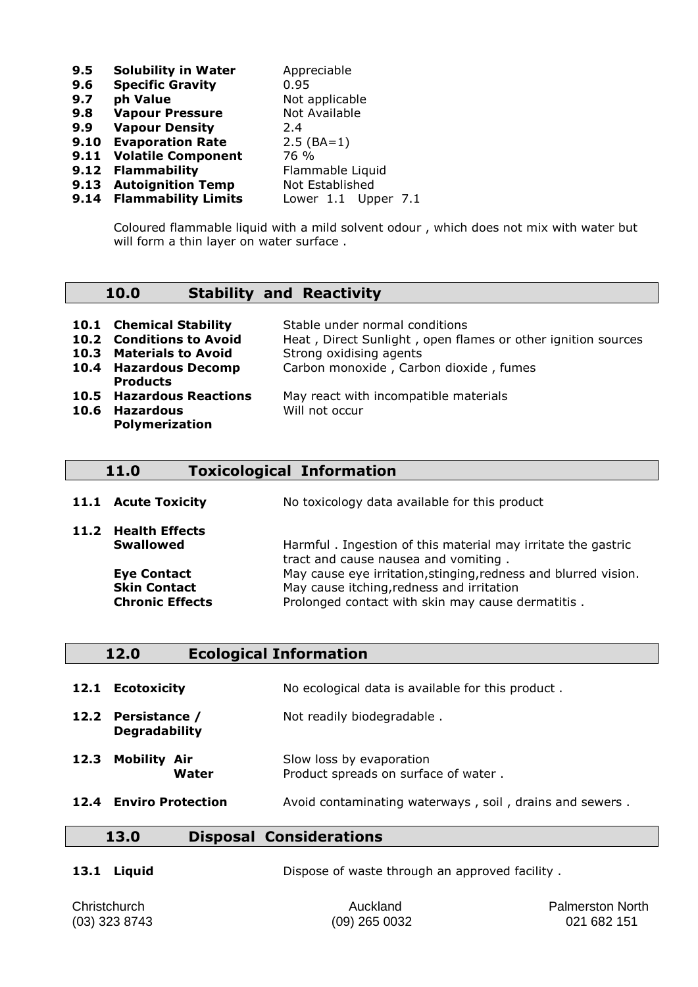**9.5 Solubility in Water** Appreciable **9.6 Specific Gravity** 0.95<br> **9.7 ph Value** Not a **9.7 ph Value**  Not applicable **9.8 Vapour Pressure Not Available 9.8 Vapour Pressure 9.9 Vapour Density** 2.4 **9.10 Evaporation Rate 2.5 (BA=1) 9.11 Volatile Component** 76 % **9.12 Flammability** Flammable Liquid **9.13 Autoignition Temp** Not Established<br>**9.14 Flammability Limits** Lower 1.1 Upper 7.1 **9.14 Flammability Limits** 

Coloured flammable liquid with a mild solvent odour , which does not mix with water but will form a thin layer on water surface .

### **10.0 Stability and Reactivity**

| <b>10.1 Chemical Stability</b><br><b>10.2 Conditions to Avoid</b><br>10.3 Materials to Avoid<br>10.4 Hazardous Decomp<br><b>Products</b> | Stable under normal conditions<br>Heat, Direct Sunlight, open flames or other ignition sources<br>Strong oxidising agents<br>Carbon monoxide, Carbon dioxide, fumes |
|------------------------------------------------------------------------------------------------------------------------------------------|---------------------------------------------------------------------------------------------------------------------------------------------------------------------|
| <b>10.5 Hazardous Reactions</b><br>10.6 Hazardous<br><b>Polymerization</b>                                                               | May react with incompatible materials<br>Will not occur                                                                                                             |

### **11.0 Toxicological Information**

**11.1 Acute Toxicity** No toxicology data available for this product

| <b>IL.L ACULE LOXICILY</b> | <u>NO LOXICOIOGY GALA AVAIIADIE TOM LITIS DROUGLE</u>                                                |
|----------------------------|------------------------------------------------------------------------------------------------------|
| 11.2 Health Effects        |                                                                                                      |
| <b>Swallowed</b>           | Harmful. Ingestion of this material may irritate the gastric<br>tract and cause nausea and vomiting. |
| <b>Eye Contact</b>         | May cause eye irritation, stinging, redness and blurred vision.                                      |
| <b>Skin Contact</b>        | May cause itching, redness and irritation                                                            |
| <b>Chronic Effects</b>     | Prolonged contact with skin may cause dermatitis.                                                    |

| 12.0 | <b>Ecological Information</b> |  |
|------|-------------------------------|--|
|      |                               |  |

**12.1 Ecotoxicity** No ecological data is available for this product.

**12.2 Persistance /**  Not readily biodegradable . **Degradability** 

- **12.3 Mobility Air** Slow loss by evaporation **Water** Product spreads on surface of water .
- **12.4 Enviro Protection Avoid contaminating waterways, soil, drains and sewers.**

## **13.0 Disposal Considerations**

**13.1 Liquid Dispose of waste through an approved facility.** 

Christchurch Auckland Palmerston North (03) 323 8743 (09) 265 0032 021 682 151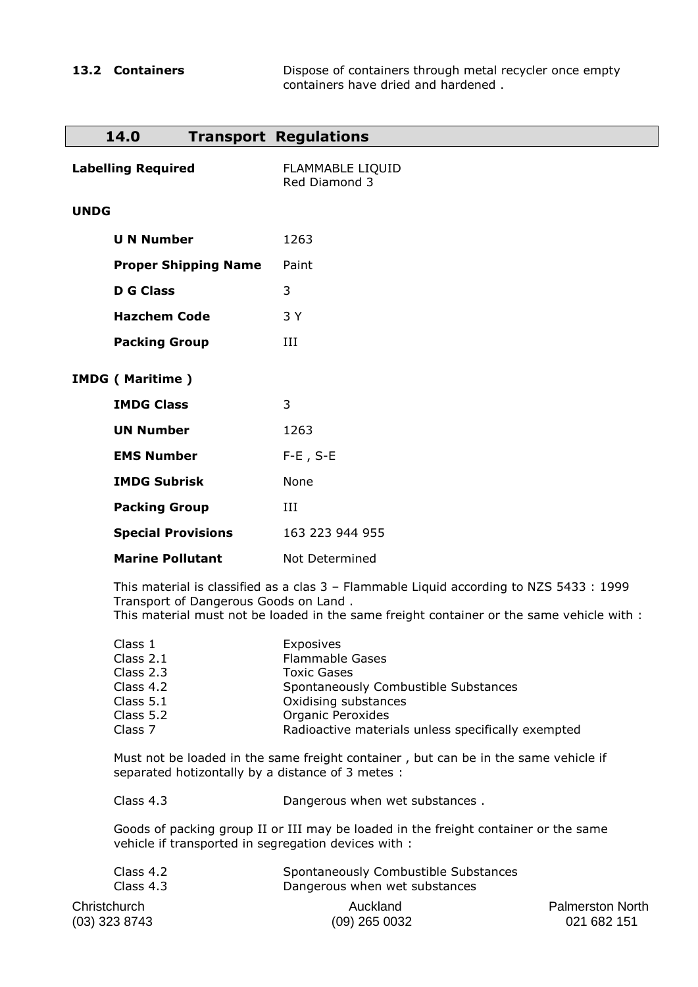**13.2 Containers Dispose of containers through metal recycler once empty** containers have dried and hardened .

| 14.0                                                                                |                                                                                                                                                                                                                               | <b>Transport Regulations</b>                                                                                                                                                                         |  |
|-------------------------------------------------------------------------------------|-------------------------------------------------------------------------------------------------------------------------------------------------------------------------------------------------------------------------------|------------------------------------------------------------------------------------------------------------------------------------------------------------------------------------------------------|--|
| <b>Labelling Required</b>                                                           |                                                                                                                                                                                                                               | <b>FLAMMABLE LIQUID</b><br>Red Diamond 3                                                                                                                                                             |  |
| <b>UNDG</b>                                                                         |                                                                                                                                                                                                                               |                                                                                                                                                                                                      |  |
| <b>U N Number</b>                                                                   |                                                                                                                                                                                                                               | 1263                                                                                                                                                                                                 |  |
|                                                                                     | <b>Proper Shipping Name</b>                                                                                                                                                                                                   | Paint                                                                                                                                                                                                |  |
| <b>D</b> G Class                                                                    |                                                                                                                                                                                                                               | 3                                                                                                                                                                                                    |  |
| <b>Hazchem Code</b>                                                                 |                                                                                                                                                                                                                               | 3 Y                                                                                                                                                                                                  |  |
| <b>Packing Group</b>                                                                |                                                                                                                                                                                                                               | III                                                                                                                                                                                                  |  |
| <b>IMDG (Maritime)</b>                                                              |                                                                                                                                                                                                                               |                                                                                                                                                                                                      |  |
| <b>IMDG Class</b>                                                                   |                                                                                                                                                                                                                               | 3                                                                                                                                                                                                    |  |
| <b>UN Number</b>                                                                    |                                                                                                                                                                                                                               | 1263                                                                                                                                                                                                 |  |
| <b>EMS Number</b>                                                                   |                                                                                                                                                                                                                               | $F-E$ , $S-E$                                                                                                                                                                                        |  |
| <b>IMDG Subrisk</b>                                                                 |                                                                                                                                                                                                                               | None                                                                                                                                                                                                 |  |
| <b>Packing Group</b>                                                                |                                                                                                                                                                                                                               | III                                                                                                                                                                                                  |  |
|                                                                                     | <b>Special Provisions</b>                                                                                                                                                                                                     | 163 223 944 955                                                                                                                                                                                      |  |
|                                                                                     | <b>Marine Pollutant</b>                                                                                                                                                                                                       | Not Determined                                                                                                                                                                                       |  |
|                                                                                     | This material is classified as a clas 3 - Flammable Liquid according to NZS 5433 : 1999<br>Transport of Dangerous Goods on Land.<br>This material must not be loaded in the same freight container or the same vehicle with : |                                                                                                                                                                                                      |  |
| Class 1<br>Class 2.1<br>Class 2.3<br>Class 4.2<br>Class 5.1<br>Class 5.2<br>Class 7 |                                                                                                                                                                                                                               | Exposives<br><b>Flammable Gases</b><br><b>Toxic Gases</b><br>Spontaneously Combustible Substances<br>Oxidising substances<br>Organic Peroxides<br>Radioactive materials unless specifically exempted |  |
|                                                                                     | Must not be loaded in the same freight container, but can be in the same vehicle if<br>separated hotizontally by a distance of 3 metes :                                                                                      |                                                                                                                                                                                                      |  |
| Class 4.3                                                                           |                                                                                                                                                                                                                               | Dangerous when wet substances.                                                                                                                                                                       |  |
|                                                                                     | Goods of packing group II or III may be loaded in the freight container or the same<br>vehicle if transported in segregation devices with :                                                                                   |                                                                                                                                                                                                      |  |
| Class 4.2                                                                           |                                                                                                                                                                                                                               | Spontaneously Combustible Substances                                                                                                                                                                 |  |

| Class 4.2     | Spontaneously Combustible Substances |                         |
|---------------|--------------------------------------|-------------------------|
| Class $4.3$   | Dangerous when wet substances        |                         |
| Christchurch  | Auckland                             | <b>Palmerston North</b> |
| (03) 323 8743 | $(09)$ 265 0032                      | 021 682 151             |